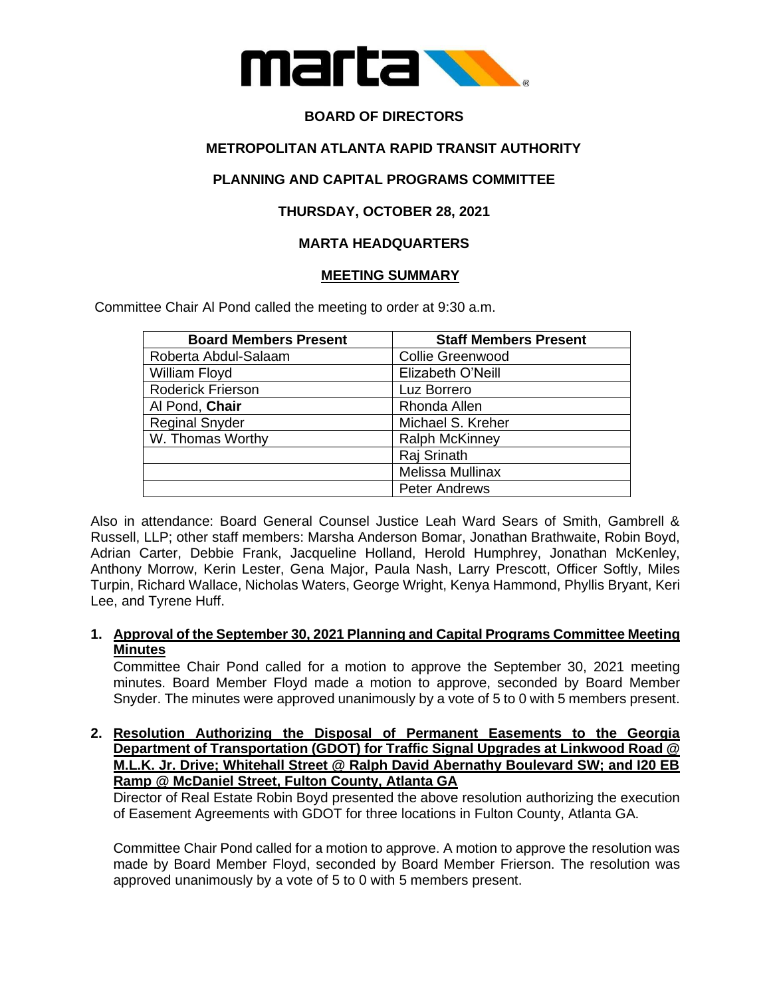

# **BOARD OF DIRECTORS**

### **METROPOLITAN ATLANTA RAPID TRANSIT AUTHORITY**

### **PLANNING AND CAPITAL PROGRAMS COMMITTEE**

# **THURSDAY, OCTOBER 28, 2021**

# **MARTA HEADQUARTERS**

#### **MEETING SUMMARY**

Committee Chair Al Pond called the meeting to order at 9:30 a.m.

| <b>Board Members Present</b> | <b>Staff Members Present</b> |
|------------------------------|------------------------------|
| Roberta Abdul-Salaam         | <b>Collie Greenwood</b>      |
| William Floyd                | Elizabeth O'Neill            |
| <b>Roderick Frierson</b>     | Luz Borrero                  |
| Al Pond, Chair               | Rhonda Allen                 |
| <b>Reginal Snyder</b>        | Michael S. Kreher            |
| W. Thomas Worthy             | <b>Ralph McKinney</b>        |
|                              | Raj Srinath                  |
|                              | Melissa Mullinax             |
|                              | <b>Peter Andrews</b>         |

Also in attendance: Board General Counsel Justice Leah Ward Sears of Smith, Gambrell & Russell, LLP; other staff members: Marsha Anderson Bomar, Jonathan Brathwaite, Robin Boyd, Adrian Carter, Debbie Frank, Jacqueline Holland, Herold Humphrey, Jonathan McKenley, Anthony Morrow, Kerin Lester, Gena Major, Paula Nash, Larry Prescott, Officer Softly, Miles Turpin, Richard Wallace, Nicholas Waters, George Wright, Kenya Hammond, Phyllis Bryant, Keri Lee, and Tyrene Huff.

#### **1. Approval of the September 30, 2021 Planning and Capital Programs Committee Meeting Minutes**

Committee Chair Pond called for a motion to approve the September 30, 2021 meeting minutes. Board Member Floyd made a motion to approve, seconded by Board Member Snyder. The minutes were approved unanimously by a vote of 5 to 0 with 5 members present.

**2. Resolution Authorizing the Disposal of Permanent Easements to the Georgia Department of Transportation (GDOT) for Traffic Signal Upgrades at Linkwood Road @ M.L.K. Jr. Drive; Whitehall Street @ Ralph David Abernathy Boulevard SW; and I20 EB Ramp @ McDaniel Street, Fulton County, Atlanta GA** 

Director of Real Estate Robin Boyd presented the above resolution authorizing the execution of Easement Agreements with GDOT for three locations in Fulton County, Atlanta GA.

Committee Chair Pond called for a motion to approve. A motion to approve the resolution was made by Board Member Floyd, seconded by Board Member Frierson. The resolution was approved unanimously by a vote of 5 to 0 with 5 members present.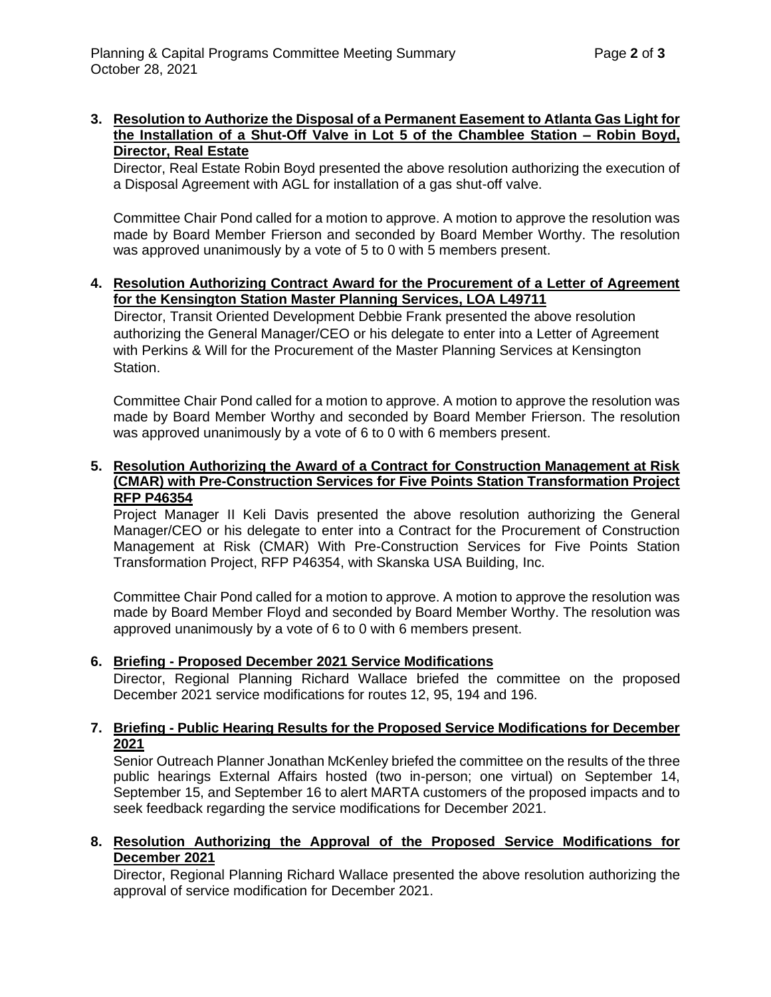#### **3. Resolution to Authorize the Disposal of a Permanent Easement to Atlanta Gas Light for the Installation of a Shut-Off Valve in Lot 5 of the Chamblee Station – Robin Boyd, Director, Real Estate**

Director, Real Estate Robin Boyd presented the above resolution authorizing the execution of a Disposal Agreement with AGL for installation of a gas shut-off valve.

Committee Chair Pond called for a motion to approve. A motion to approve the resolution was made by Board Member Frierson and seconded by Board Member Worthy. The resolution was approved unanimously by a vote of 5 to 0 with 5 members present.

#### **4. Resolution Authorizing Contract Award for the Procurement of a Letter of Agreement for the Kensington Station Master Planning Services, LOA L49711**

 Director, Transit Oriented Development Debbie Frank presented the above resolution authorizing the General Manager/CEO or his delegate to enter into a Letter of Agreement with Perkins & Will for the Procurement of the Master Planning Services at Kensington Station.

Committee Chair Pond called for a motion to approve. A motion to approve the resolution was made by Board Member Worthy and seconded by Board Member Frierson. The resolution was approved unanimously by a vote of 6 to 0 with 6 members present.

#### **5. Resolution Authorizing the Award of a Contract for Construction Management at Risk (CMAR) with Pre-Construction Services for Five Points Station Transformation Project RFP P46354**

Project Manager II Keli Davis presented the above resolution authorizing the General Manager/CEO or his delegate to enter into a Contract for the Procurement of Construction Management at Risk (CMAR) With Pre-Construction Services for Five Points Station Transformation Project, RFP P46354, with Skanska USA Building, Inc.

Committee Chair Pond called for a motion to approve. A motion to approve the resolution was made by Board Member Floyd and seconded by Board Member Worthy. The resolution was approved unanimously by a vote of 6 to 0 with 6 members present.

### **6. Briefing - Proposed December 2021 Service Modifications**

Director, Regional Planning Richard Wallace briefed the committee on the proposed December 2021 service modifications for routes 12, 95, 194 and 196.

### **7. Briefing - Public Hearing Results for the Proposed Service Modifications for December 2021**

Senior Outreach Planner Jonathan McKenley briefed the committee on the results of the three public hearings External Affairs hosted (two in-person; one virtual) on September 14, September 15, and September 16 to alert MARTA customers of the proposed impacts and to seek feedback regarding the service modifications for December 2021.

### **8. Resolution Authorizing the Approval of the Proposed Service Modifications for December 2021**

Director, Regional Planning Richard Wallace presented the above resolution authorizing the approval of service modification for December 2021.